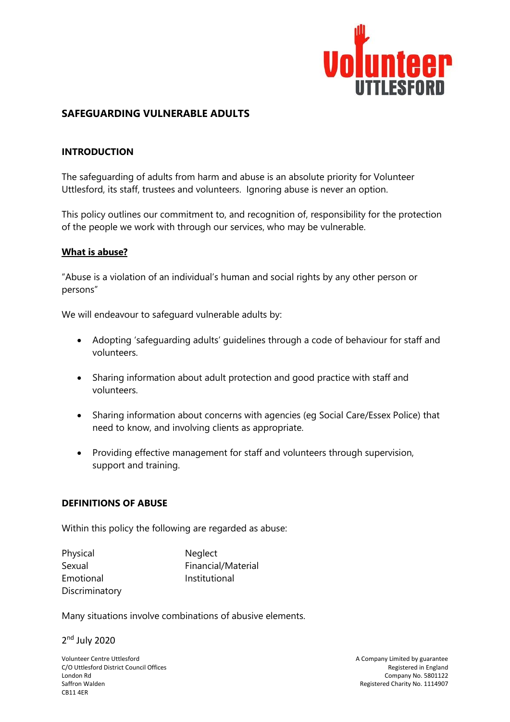

## **SAFEGUARDING VULNERABLE ADULTS**

#### **INTRODUCTION**

The safeguarding of adults from harm and abuse is an absolute priority for Volunteer Uttlesford, its staff, trustees and volunteers. Ignoring abuse is never an option.

This policy outlines our commitment to, and recognition of, responsibility for the protection of the people we work with through our services, who may be vulnerable.

#### **What is abuse?**

"Abuse is a violation of an individual's human and social rights by any other person or persons"

We will endeavour to safeguard vulnerable adults by:

- Adopting 'safeguarding adults' guidelines through a code of behaviour for staff and volunteers.
- Sharing information about adult protection and good practice with staff and volunteers.
- Sharing information about concerns with agencies (eg Social Care/Essex Police) that need to know, and involving clients as appropriate.
- Providing effective management for staff and volunteers through supervision, support and training.

#### **DEFINITIONS OF ABUSE**

Within this policy the following are regarded as abuse:

| Physical       | Neglect            |
|----------------|--------------------|
| Sexual         | Financial/Material |
| Emotional      | Institutional      |
| Discriminatory |                    |

Many situations involve combinations of abusive elements.

2<sup>nd</sup> July 2020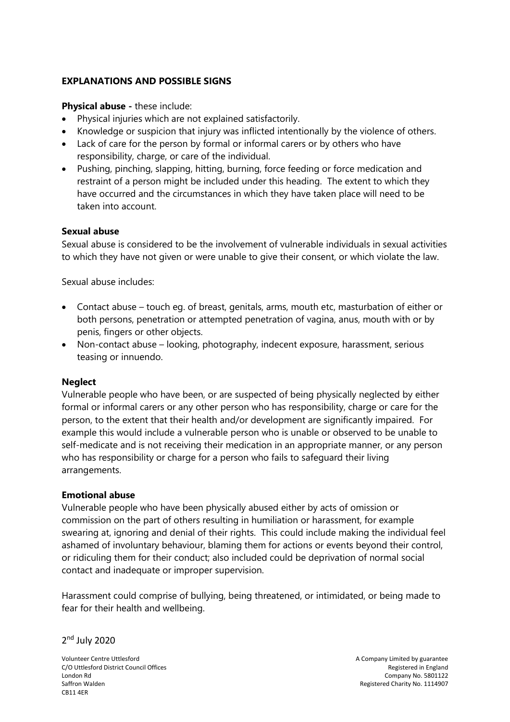## **EXPLANATIONS AND POSSIBLE SIGNS**

**Physical abuse -** these include:

- Physical injuries which are not explained satisfactorily.
- Knowledge or suspicion that injury was inflicted intentionally by the violence of others.
- Lack of care for the person by formal or informal carers or by others who have responsibility, charge, or care of the individual.
- Pushing, pinching, slapping, hitting, burning, force feeding or force medication and restraint of a person might be included under this heading. The extent to which they have occurred and the circumstances in which they have taken place will need to be taken into account.

#### **Sexual abuse**

Sexual abuse is considered to be the involvement of vulnerable individuals in sexual activities to which they have not given or were unable to give their consent, or which violate the law.

Sexual abuse includes:

- Contact abuse touch eg. of breast, genitals, arms, mouth etc, masturbation of either or both persons, penetration or attempted penetration of vagina, anus, mouth with or by penis, fingers or other objects.
- Non-contact abuse looking, photography, indecent exposure, harassment, serious teasing or innuendo.

### **Neglect**

Vulnerable people who have been, or are suspected of being physically neglected by either formal or informal carers or any other person who has responsibility, charge or care for the person, to the extent that their health and/or development are significantly impaired. For example this would include a vulnerable person who is unable or observed to be unable to self-medicate and is not receiving their medication in an appropriate manner, or any person who has responsibility or charge for a person who fails to safeguard their living arrangements.

### **Emotional abuse**

Vulnerable people who have been physically abused either by acts of omission or commission on the part of others resulting in humiliation or harassment, for example swearing at, ignoring and denial of their rights. This could include making the individual feel ashamed of involuntary behaviour, blaming them for actions or events beyond their control, or ridiculing them for their conduct; also included could be deprivation of normal social contact and inadequate or improper supervision.

Harassment could comprise of bullying, being threatened, or intimidated, or being made to fear for their health and wellbeing.

2<sup>nd</sup> July 2020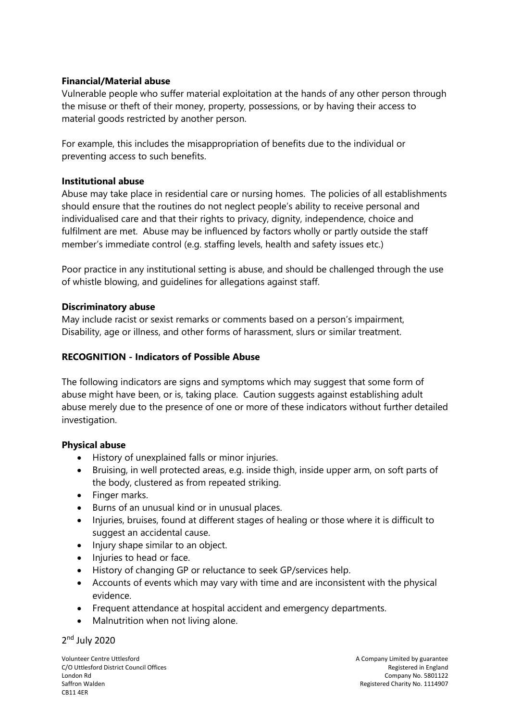### **Financial/Material abuse**

Vulnerable people who suffer material exploitation at the hands of any other person through the misuse or theft of their money, property, possessions, or by having their access to material goods restricted by another person.

For example, this includes the misappropriation of benefits due to the individual or preventing access to such benefits.

### **Institutional abuse**

Abuse may take place in residential care or nursing homes. The policies of all establishments should ensure that the routines do not neglect people's ability to receive personal and individualised care and that their rights to privacy, dignity, independence, choice and fulfilment are met. Abuse may be influenced by factors wholly or partly outside the staff member's immediate control (e.g. staffing levels, health and safety issues etc.)

Poor practice in any institutional setting is abuse, and should be challenged through the use of whistle blowing, and guidelines for allegations against staff.

### **Discriminatory abuse**

May include racist or sexist remarks or comments based on a person's impairment, Disability, age or illness, and other forms of harassment, slurs or similar treatment.

### **RECOGNITION - Indicators of Possible Abuse**

The following indicators are signs and symptoms which may suggest that some form of abuse might have been, or is, taking place. Caution suggests against establishing adult abuse merely due to the presence of one or more of these indicators without further detailed investigation.

### **Physical abuse**

- History of unexplained falls or minor injuries.
- Bruising, in well protected areas, e.g. inside thigh, inside upper arm, on soft parts of the body, clustered as from repeated striking.
- Finger marks.
- Burns of an unusual kind or in unusual places.
- Injuries, bruises, found at different stages of healing or those where it is difficult to suggest an accidental cause.
- Injury shape similar to an object.
- Injuries to head or face.
- History of changing GP or reluctance to seek GP/services help.
- Accounts of events which may vary with time and are inconsistent with the physical evidence.
- Frequent attendance at hospital accident and emergency departments.
- Malnutrition when not living alone.

2<sup>nd</sup> July 2020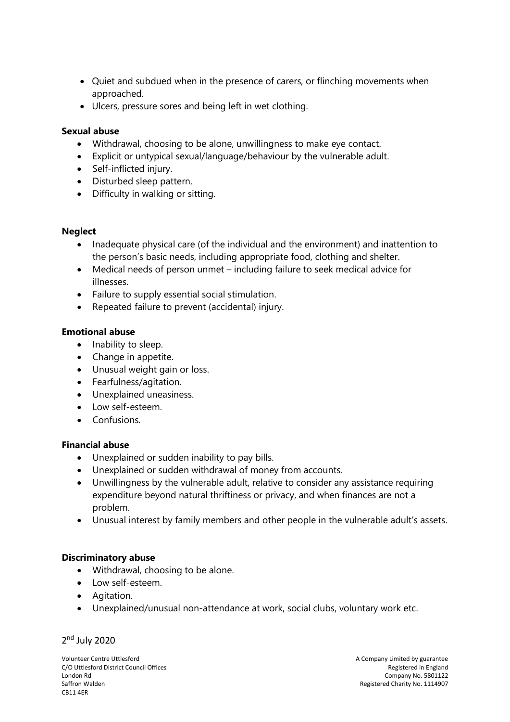- Quiet and subdued when in the presence of carers, or flinching movements when approached.
- Ulcers, pressure sores and being left in wet clothing.

### **Sexual abuse**

- Withdrawal, choosing to be alone, unwillingness to make eye contact.
- Explicit or untypical sexual/language/behaviour by the vulnerable adult.
- Self-inflicted injury.
- Disturbed sleep pattern.
- Difficulty in walking or sitting.

#### **Neglect**

- Inadequate physical care (of the individual and the environment) and inattention to the person's basic needs, including appropriate food, clothing and shelter.
- Medical needs of person unmet including failure to seek medical advice for illnesses.
- Failure to supply essential social stimulation.
- Repeated failure to prevent (accidental) injury.

### **Emotional abuse**

- Inability to sleep.
- Change in appetite.
- Unusual weight gain or loss.
- Fearfulness/agitation.
- Unexplained uneasiness.
- Low self-esteem.
- Confusions.

### **Financial abuse**

- Unexplained or sudden inability to pay bills.
- Unexplained or sudden withdrawal of money from accounts.
- Unwillingness by the vulnerable adult, relative to consider any assistance requiring expenditure beyond natural thriftiness or privacy, and when finances are not a problem.
- Unusual interest by family members and other people in the vulnerable adult's assets.

### **Discriminatory abuse**

- Withdrawal, choosing to be alone.
- Low self-esteem.
- Agitation.
- Unexplained/unusual non-attendance at work, social clubs, voluntary work etc.

#### 2<sup>nd</sup> July 2020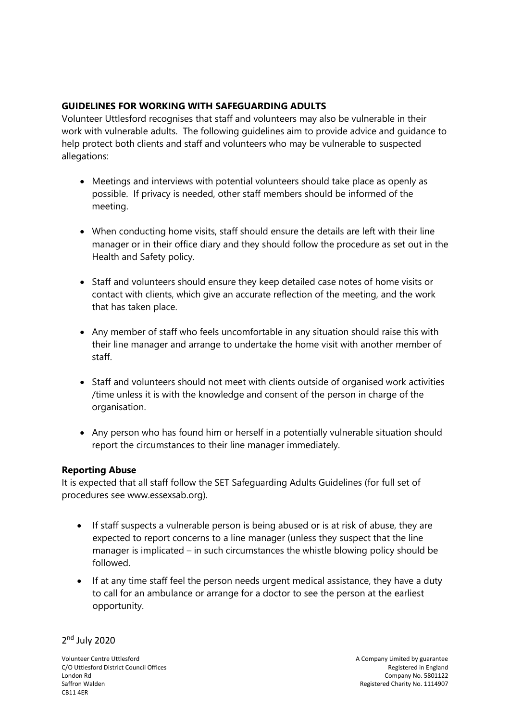# **GUIDELINES FOR WORKING WITH SAFEGUARDING ADULTS**

Volunteer Uttlesford recognises that staff and volunteers may also be vulnerable in their work with vulnerable adults. The following guidelines aim to provide advice and guidance to help protect both clients and staff and volunteers who may be vulnerable to suspected allegations:

- Meetings and interviews with potential volunteers should take place as openly as possible. If privacy is needed, other staff members should be informed of the meeting.
- When conducting home visits, staff should ensure the details are left with their line manager or in their office diary and they should follow the procedure as set out in the Health and Safety policy.
- Staff and volunteers should ensure they keep detailed case notes of home visits or contact with clients, which give an accurate reflection of the meeting, and the work that has taken place.
- Any member of staff who feels uncomfortable in any situation should raise this with their line manager and arrange to undertake the home visit with another member of staff.
- Staff and volunteers should not meet with clients outside of organised work activities /time unless it is with the knowledge and consent of the person in charge of the organisation.
- Any person who has found him or herself in a potentially vulnerable situation should report the circumstances to their line manager immediately.

# **Reporting Abuse**

It is expected that all staff follow the SET Safeguarding Adults Guidelines (for full set of procedures see [www.essexsab.org\)](http://www.essexsab.org/).

- If staff suspects a vulnerable person is being abused or is at risk of abuse, they are expected to report concerns to a line manager (unless they suspect that the line manager is implicated – in such circumstances the whistle blowing policy should be followed.
- If at any time staff feel the person needs urgent medical assistance, they have a duty to call for an ambulance or arrange for a doctor to see the person at the earliest opportunity.

2<sup>nd</sup> July 2020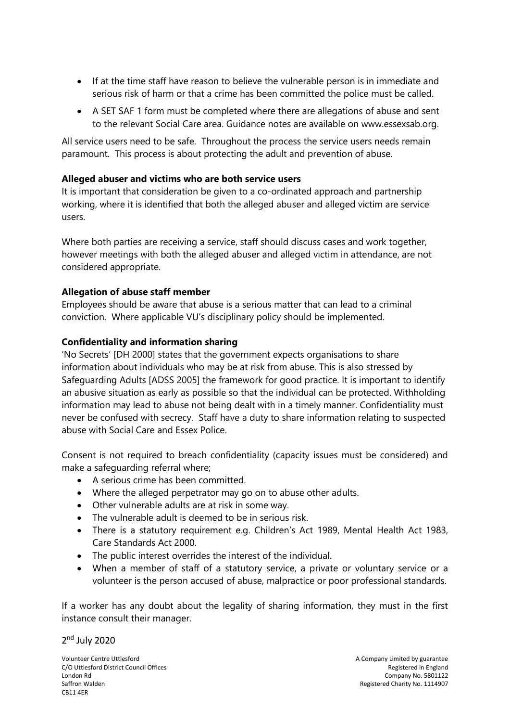- If at the time staff have reason to believe the vulnerable person is in immediate and serious risk of harm or that a crime has been committed the police must be called.
- A SET SAF 1 form must be completed where there are allegations of abuse and sent to the relevant Social Care area. Guidance notes are available on [www.essexsab.org.](http://www.essexsab.org/)

All service users need to be safe. Throughout the process the service users needs remain paramount. This process is about protecting the adult and prevention of abuse.

## **Alleged abuser and victims who are both service users**

It is important that consideration be given to a co-ordinated approach and partnership working, where it is identified that both the alleged abuser and alleged victim are service users.

Where both parties are receiving a service, staff should discuss cases and work together, however meetings with both the alleged abuser and alleged victim in attendance, are not considered appropriate.

# **Allegation of abuse staff member**

Employees should be aware that abuse is a serious matter that can lead to a criminal conviction. Where applicable VU's disciplinary policy should be implemented.

## **Confidentiality and information sharing**

'No Secrets' [DH 2000] states that the government expects organisations to share information about individuals who may be at risk from abuse. This is also stressed by Safeguarding Adults [ADSS 2005] the framework for good practice. It is important to identify an abusive situation as early as possible so that the individual can be protected. Withholding information may lead to abuse not being dealt with in a timely manner. Confidentiality must never be confused with secrecy. Staff have a duty to share information relating to suspected abuse with Social Care and Essex Police.

Consent is not required to breach confidentiality (capacity issues must be considered) and make a safeguarding referral where;

- A serious crime has been committed.
- Where the alleged perpetrator may go on to abuse other adults.
- Other vulnerable adults are at risk in some way.
- The vulnerable adult is deemed to be in serious risk.
- There is a statutory requirement e.g. Children's Act 1989, Mental Health Act 1983, Care Standards Act 2000.
- The public interest overrides the interest of the individual.
- When a member of staff of a statutory service, a private or voluntary service or a volunteer is the person accused of abuse, malpractice or poor professional standards.

If a worker has any doubt about the legality of sharing information, they must in the first instance consult their manager.

2<sup>nd</sup> July 2020